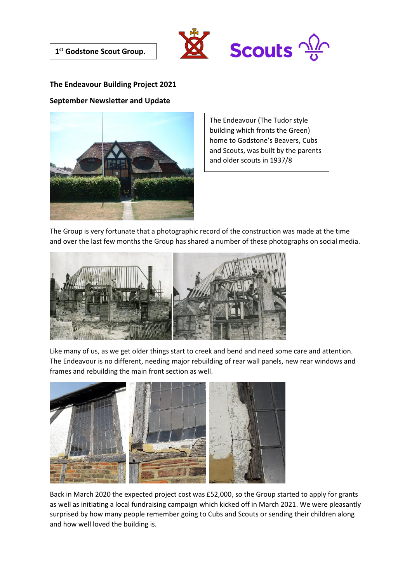



## **The Endeavour Building Project 2021**

## **September Newsletter and Update**



The Endeavour (The Tudor style building which fronts the Green) home to Godstone's Beavers, Cubs and Scouts, was built by the parents and older scouts in 1937/8

The Group is very fortunate that a photographic record of the construction was made at the time and over the last few months the Group has shared a number of these photographs on social media.



Like many of us, as we get older things start to creek and bend and need some care and attention. The Endeavour is no different, needing major rebuilding of rear wall panels, new rear windows and frames and rebuilding the main front section as well.



Back in March 2020 the expected project cost was £52,000, so the Group started to apply for grants as well as initiating a local fundraising campaign which kicked off in March 2021. We were pleasantly surprised by how many people remember going to Cubs and Scouts or sending their children along and how well loved the building is.